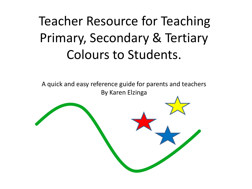#### Teacher Resource for Teaching Primary, Secondary & Tertiary Colours to Students.

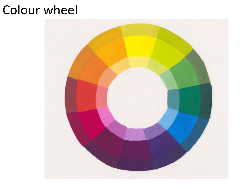#### Colour wheel

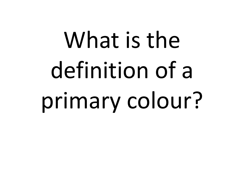## What is the definition of a primary colour?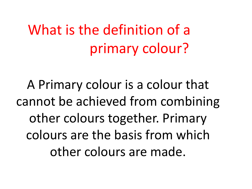### What is the definition of a primary colour?

A Primary colour is a colour that cannot be achieved from combining other colours together. Primary colours are the basis from which other colours are made.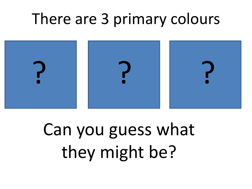### There are 3 primary colours



### Can you guess what they might be?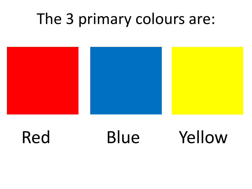#### The 3 primary colours are:



### Red Blue Yellow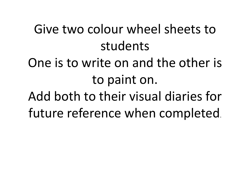#### Give two colour wheel sheets to students

#### One is to write on and the other is to paint on.

Add both to their visual diaries for future reference when completed.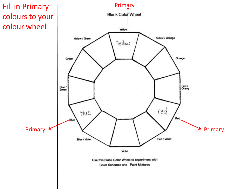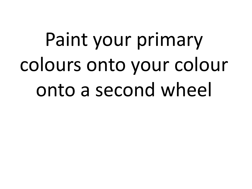### Paint your primary colours onto your colour onto a second wheel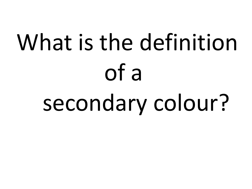## What is the definition of a secondary colour?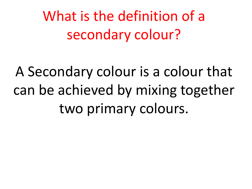What is the definition of a secondary colour?

A Secondary colour is a colour that can be achieved by mixing together two primary colours.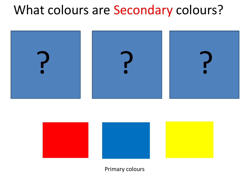#### What colours are Secondary colours?





Primary colours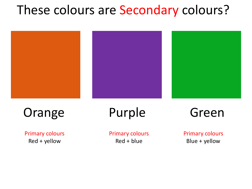#### These colours are Secondary colours?



#### Orange Purple Green

Primary colours Red + yellow

Primary colours Red + blue

Primary colours Blue + yellow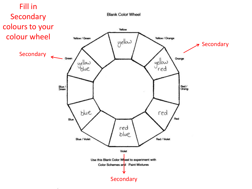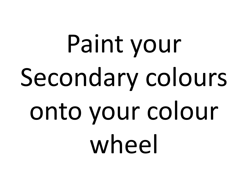# Paint your Secondary colours onto your colour wheel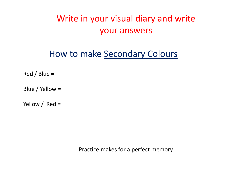#### Write in your visual diary and write your answers

#### How to make Secondary Colours

Red / Blue =

Blue / Yellow =

Yellow / Red =

Practice makes for a perfect memory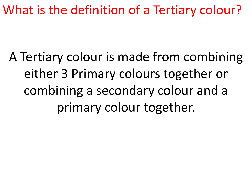What is the definition of a Tertiary colour?

A Tertiary colour is made from combining either 3 Primary colours together or combining a secondary colour and a primary colour together.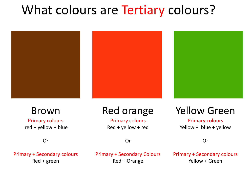#### What colours are Tertiary colours?



#### Brown

Primary colours red + yellow + blue

#### Red orange

Primary colours Red + yellow + red

Or

#### Yellow Green

Primary colours Yellow + blue + yellow

Or

Or

Primary + Secondary colours Red + green

Primary + Secondary Colours Red + Orange

Primary + Secondary colours Yellow + Green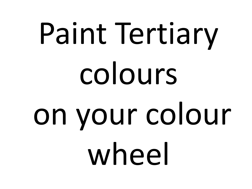# Paint Tertiary colours on your colour wheel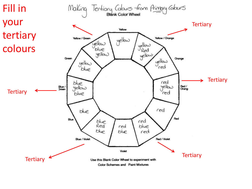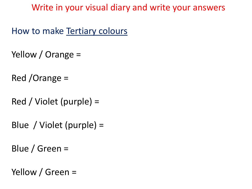Write in your visual diary and write your answers

How to make Tertiary colours

- Yellow / Orange =
- Red /Orange =
- Red / Violet (purple) =
- Blue / Violet (purple) =
- Blue / Green =
- Yellow / Green =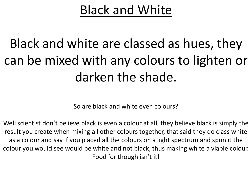#### Black and White

#### Black and white are classed as hues, they can be mixed with any colours to lighten or darken the shade.

So are black and white even colours?

Well scientist don't believe black is even a colour at all, they believe black is simply the result you create when mixing all other colours together, that said they do class white as a colour and say if you placed all the colours on a light spectrum and spun it the colour you would see would be white and not black, thus making white a viable colour. Food for though isn't it!